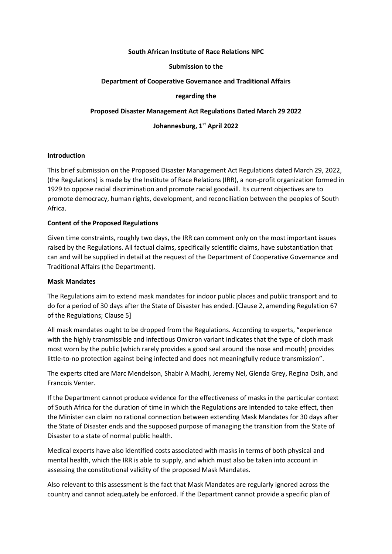## **South African Institute of Race Relations NPC**

## **Submission to the**

## **Department of Cooperative Governance and Traditional Affairs**

## **regarding the**

## **Proposed Disaster Management Act Regulations Dated March 29 2022**

# **Johannesburg, 1st April 2022**

## **Introduction**

This brief submission on the Proposed Disaster Management Act Regulations dated March 29, 2022, (the Regulations) is made by the Institute of Race Relations (IRR), a non-profit organization formed in 1929 to oppose racial discrimination and promote racial goodwill. Its current objectives are to promote democracy, human rights, development, and reconciliation between the peoples of South Africa.

## **Content of the Proposed Regulations**

Given time constraints, roughly two days, the IRR can comment only on the most important issues raised by the Regulations. All factual claims, specifically scientific claims, have substantiation that can and will be supplied in detail at the request of the Department of Cooperative Governance and Traditional Affairs (the Department).

#### **Mask Mandates**

The Regulations aim to extend mask mandates for indoor public places and public transport and to do for a period of 30 days after the State of Disaster has ended. [Clause 2, amending Regulation 67 of the Regulations; Clause 5]

All mask mandates ought to be dropped from the Regulations. According to experts, "experience with the highly transmissible and infectious Omicron variant indicates that the type of cloth mask most worn by the public (which rarely provides a good seal around the nose and mouth) provides little-to-no protection against being infected and does not meaningfully reduce transmission".

The experts cited are Marc Mendelson, Shabir A Madhi, Jeremy Nel, Glenda Grey, Regina Osih, and Francois Venter.

If the Department cannot produce evidence for the effectiveness of masks in the particular context of South Africa for the duration of time in which the Regulations are intended to take effect, then the Minister can claim no rational connection between extending Mask Mandates for 30 days after the State of Disaster ends and the supposed purpose of managing the transition from the State of Disaster to a state of normal public health.

Medical experts have also identified costs associated with masks in terms of both physical and mental health, which the IRR is able to supply, and which must also be taken into account in assessing the constitutional validity of the proposed Mask Mandates.

Also relevant to this assessment is the fact that Mask Mandates are regularly ignored across the country and cannot adequately be enforced. If the Department cannot provide a specific plan of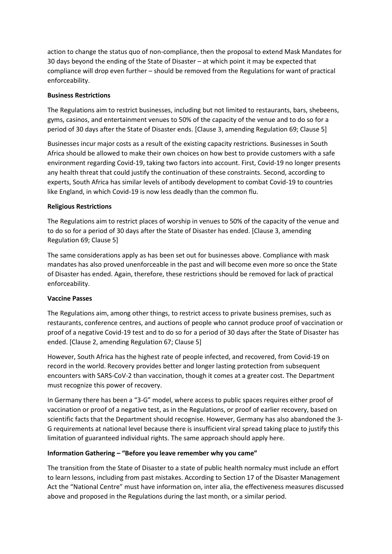action to change the status quo of non-compliance, then the proposal to extend Mask Mandates for 30 days beyond the ending of the State of Disaster – at which point it may be expected that compliance will drop even further – should be removed from the Regulations for want of practical enforceability.

# **Business Restrictions**

The Regulations aim to restrict businesses, including but not limited to restaurants, bars, shebeens, gyms, casinos, and entertainment venues to 50% of the capacity of the venue and to do so for a period of 30 days after the State of Disaster ends. [Clause 3, amending Regulation 69; Clause 5]

Businesses incur major costs as a result of the existing capacity restrictions. Businesses in South Africa should be allowed to make their own choices on how best to provide customers with a safe environment regarding Covid-19, taking two factors into account. First, Covid-19 no longer presents any health threat that could justify the continuation of these constraints. Second, according to experts, South Africa has similar levels of antibody development to combat Covid-19 to countries like England, in which Covid-19 is now less deadly than the common flu.

# **Religious Restrictions**

The Regulations aim to restrict places of worship in venues to 50% of the capacity of the venue and to do so for a period of 30 days after the State of Disaster has ended. [Clause 3, amending Regulation 69; Clause 5]

The same considerations apply as has been set out for businesses above. Compliance with mask mandates has also proved unenforceable in the past and will become even more so once the State of Disaster has ended. Again, therefore, these restrictions should be removed for lack of practical enforceability.

# **Vaccine Passes**

The Regulations aim, among other things, to restrict access to private business premises, such as restaurants, conference centres, and auctions of people who cannot produce proof of vaccination or proof of a negative Covid-19 test and to do so for a period of 30 days after the State of Disaster has ended. [Clause 2, amending Regulation 67; Clause 5]

However, South Africa has the highest rate of people infected, and recovered, from Covid-19 on record in the world. Recovery provides better and longer lasting protection from subsequent encounters with SARS-CoV-2 than vaccination, though it comes at a greater cost. The Department must recognize this power of recovery.

In Germany there has been a "3-G" model, where access to public spaces requires either proof of vaccination or proof of a negative test, as in the Regulations, or proof of earlier recovery, based on scientific facts that the Department should recognise. However, Germany has also abandoned the 3- G requirements at national level because there is insufficient viral spread taking place to justify this limitation of guaranteed individual rights. The same approach should apply here.

# **Information Gathering – "Before you leave remember why you came"**

The transition from the State of Disaster to a state of public health normalcy must include an effort to learn lessons, including from past mistakes. According to Section 17 of the Disaster Management Act the "National Centre" must have information on, inter alia, the effectiveness measures discussed above and proposed in the Regulations during the last month, or a similar period.